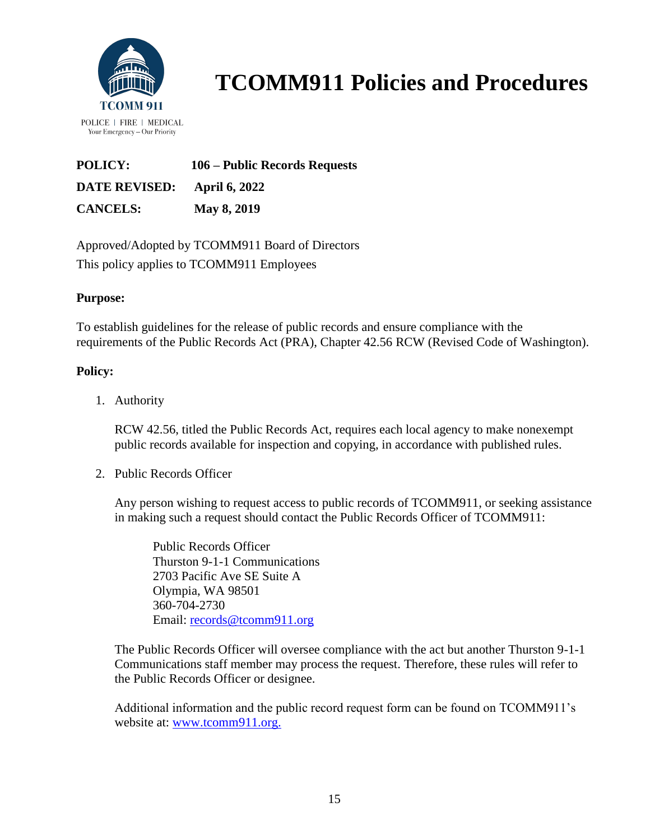

| POLICY:                     | 106 – Public Records Requests |
|-----------------------------|-------------------------------|
| DATE REVISED: April 6, 2022 |                               |
| <b>CANCELS:</b>             | May 8, 2019                   |

Approved/Adopted by TCOMM911 Board of Directors This policy applies to TCOMM911 Employees

### **Purpose:**

To establish guidelines for the release of public records and ensure compliance with the requirements of the Public Records Act (PRA), Chapter 42.56 RCW (Revised Code of Washington).

### **Policy:**

1. Authority

RCW 42.56, titled the Public Records Act, requires each local agency to make nonexempt public records available for inspection and copying, in accordance with published rules.

2. Public Records Officer

Any person wishing to request access to public records of TCOMM911, or seeking assistance in making such a request should contact the Public Records Officer of TCOMM911:

Public Records Officer Thurston 9-1-1 Communications 2703 Pacific Ave SE Suite A Olympia, WA 98501 360-704-2730 Email: [records@tcomm911.org](mailto:records@tcomm911.org)

The Public Records Officer will oversee compliance with the act but another Thurston 9-1-1 Communications staff member may process the request. Therefore, these rules will refer to the Public Records Officer or designee.

Additional information and the public record request form can be found on TCOMM911's website at: [www.tcomm911.org.](http://www.tcomm911.org/)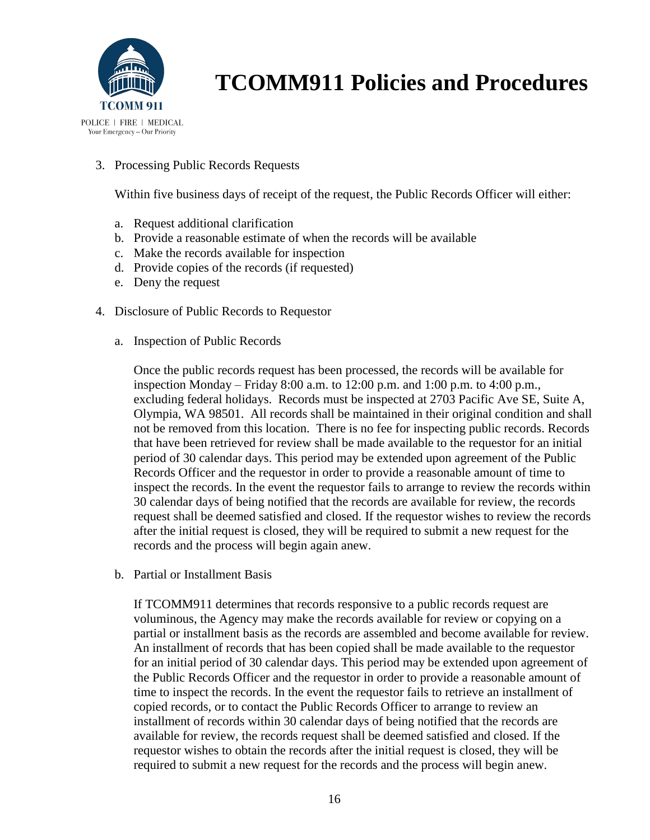

3. Processing Public Records Requests

Within five business days of receipt of the request, the Public Records Officer will either:

- a. Request additional clarification
- b. Provide a reasonable estimate of when the records will be available
- c. Make the records available for inspection
- d. Provide copies of the records (if requested)
- e. Deny the request
- 4. Disclosure of Public Records to Requestor
	- a. Inspection of Public Records

Once the public records request has been processed, the records will be available for inspection Monday – Friday 8:00 a.m. to 12:00 p.m. and 1:00 p.m. to 4:00 p.m., excluding federal holidays. Records must be inspected at 2703 Pacific Ave SE, Suite A, Olympia, WA 98501. All records shall be maintained in their original condition and shall not be removed from this location. There is no fee for inspecting public records. Records that have been retrieved for review shall be made available to the requestor for an initial period of 30 calendar days. This period may be extended upon agreement of the Public Records Officer and the requestor in order to provide a reasonable amount of time to inspect the records. In the event the requestor fails to arrange to review the records within 30 calendar days of being notified that the records are available for review, the records request shall be deemed satisfied and closed. If the requestor wishes to review the records after the initial request is closed, they will be required to submit a new request for the records and the process will begin again anew.

b. Partial or Installment Basis

If TCOMM911 determines that records responsive to a public records request are voluminous, the Agency may make the records available for review or copying on a partial or installment basis as the records are assembled and become available for review. An installment of records that has been copied shall be made available to the requestor for an initial period of 30 calendar days. This period may be extended upon agreement of the Public Records Officer and the requestor in order to provide a reasonable amount of time to inspect the records. In the event the requestor fails to retrieve an installment of copied records, or to contact the Public Records Officer to arrange to review an installment of records within 30 calendar days of being notified that the records are available for review, the records request shall be deemed satisfied and closed. If the requestor wishes to obtain the records after the initial request is closed, they will be required to submit a new request for the records and the process will begin anew.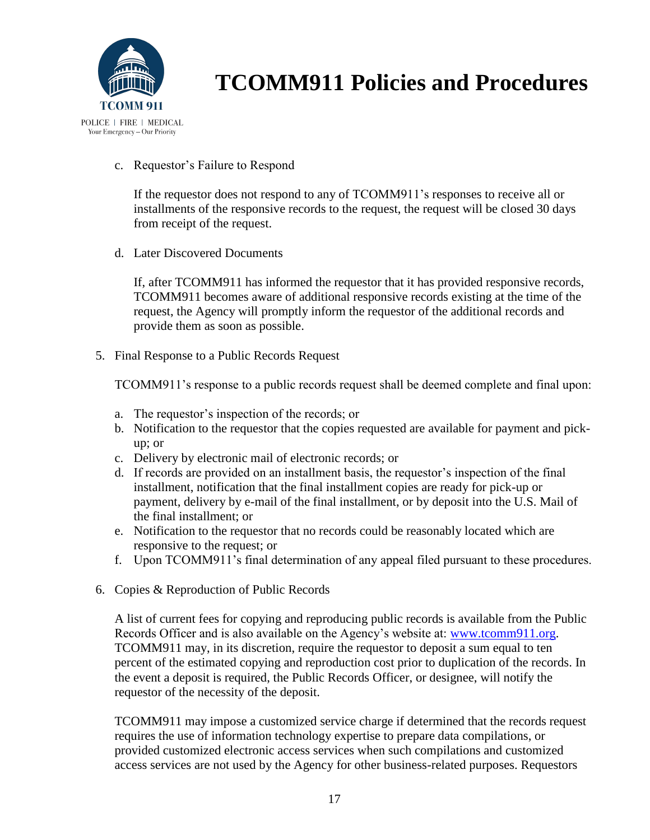

#### c. Requestor's Failure to Respond

If the requestor does not respond to any of TCOMM911's responses to receive all or installments of the responsive records to the request, the request will be closed 30 days from receipt of the request.

d. Later Discovered Documents

If, after TCOMM911 has informed the requestor that it has provided responsive records, TCOMM911 becomes aware of additional responsive records existing at the time of the request, the Agency will promptly inform the requestor of the additional records and provide them as soon as possible.

5. Final Response to a Public Records Request

TCOMM911's response to a public records request shall be deemed complete and final upon:

- a. The requestor's inspection of the records; or
- b. Notification to the requestor that the copies requested are available for payment and pickup; or
- c. Delivery by electronic mail of electronic records; or
- d. If records are provided on an installment basis, the requestor's inspection of the final installment, notification that the final installment copies are ready for pick-up or payment, delivery by e-mail of the final installment, or by deposit into the U.S. Mail of the final installment; or
- e. Notification to the requestor that no records could be reasonably located which are responsive to the request; or
- f. Upon TCOMM911's final determination of any appeal filed pursuant to these procedures.
- 6. Copies & Reproduction of Public Records

A list of current fees for copying and reproducing public records is available from the Public Records Officer and is also available on the Agency's website at: [www.tcomm911.org.](http://www.tcomm911.org/) TCOMM911 may, in its discretion, require the requestor to deposit a sum equal to ten percent of the estimated copying and reproduction cost prior to duplication of the records. In the event a deposit is required, the Public Records Officer, or designee, will notify the requestor of the necessity of the deposit.

TCOMM911 may impose a customized service charge if determined that the records request requires the use of information technology expertise to prepare data compilations, or provided customized electronic access services when such compilations and customized access services are not used by the Agency for other business-related purposes. Requestors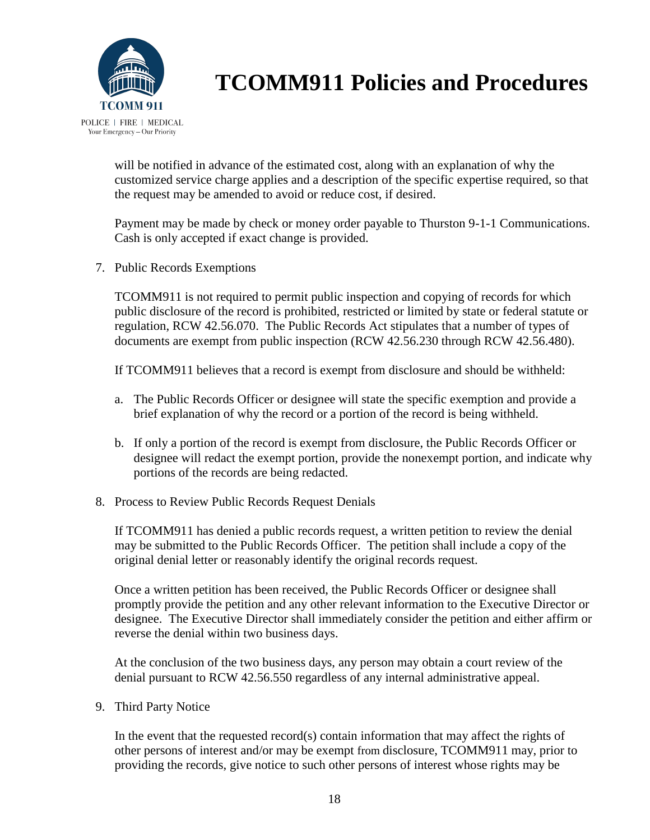

will be notified in advance of the estimated cost, along with an explanation of why the customized service charge applies and a description of the specific expertise required, so that the request may be amended to avoid or reduce cost, if desired.

Payment may be made by check or money order payable to Thurston 9-1-1 Communications. Cash is only accepted if exact change is provided.

7. Public Records Exemptions

TCOMM911 is not required to permit public inspection and copying of records for which public disclosure of the record is prohibited, restricted or limited by state or federal statute or regulation, RCW 42.56.070. The Public Records Act stipulates that a number of types of documents are exempt from public inspection (RCW 42.56.230 through RCW 42.56.480).

If TCOMM911 believes that a record is exempt from disclosure and should be withheld:

- a. The Public Records Officer or designee will state the specific exemption and provide a brief explanation of why the record or a portion of the record is being withheld.
- b. If only a portion of the record is exempt from disclosure, the Public Records Officer or designee will redact the exempt portion, provide the nonexempt portion, and indicate why portions of the records are being redacted.
- 8. Process to Review Public Records Request Denials

If TCOMM911 has denied a public records request, a written petition to review the denial may be submitted to the Public Records Officer. The petition shall include a copy of the original denial letter or reasonably identify the original records request.

Once a written petition has been received, the Public Records Officer or designee shall promptly provide the petition and any other relevant information to the Executive Director or designee. The Executive Director shall immediately consider the petition and either affirm or reverse the denial within two business days.

At the conclusion of the two business days, any person may obtain a court review of the denial pursuant to RCW 42.56.550 regardless of any internal administrative appeal.

9. Third Party Notice

In the event that the requested record(s) contain information that may affect the rights of other persons of interest and/or may be exempt from disclosure, TCOMM911 may, prior to providing the records, give notice to such other persons of interest whose rights may be